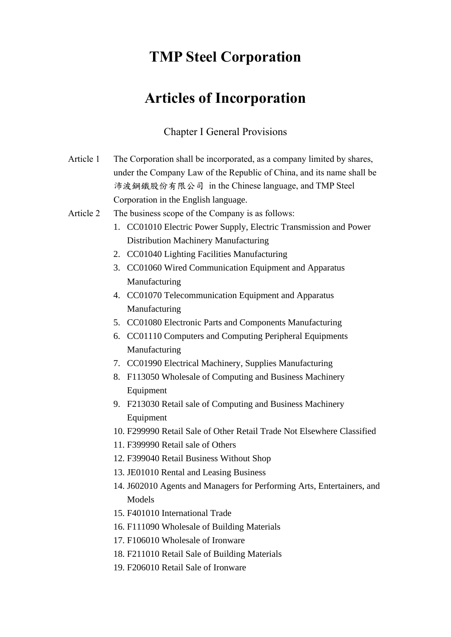## **TMP Steel Corporation**

# **Articles of Incorporation**

### Chapter I General Provisions

| Article 1 | The Corporation shall be incorporated, as a company limited by shares,<br>under the Company Law of the Republic of China, and its name shall be<br>沛波鋼鐵股份有限公司 in the Chinese language, and TMP Steel |
|-----------|------------------------------------------------------------------------------------------------------------------------------------------------------------------------------------------------------|
|           | Corporation in the English language.                                                                                                                                                                 |
| Article 2 | The business scope of the Company is as follows:                                                                                                                                                     |
|           | 1. CC01010 Electric Power Supply, Electric Transmission and Power                                                                                                                                    |
|           | <b>Distribution Machinery Manufacturing</b>                                                                                                                                                          |
|           | 2. CC01040 Lighting Facilities Manufacturing                                                                                                                                                         |
|           | 3. CC01060 Wired Communication Equipment and Apparatus                                                                                                                                               |
|           | Manufacturing                                                                                                                                                                                        |
|           | 4. CC01070 Telecommunication Equipment and Apparatus                                                                                                                                                 |
|           | Manufacturing                                                                                                                                                                                        |
|           | 5. CC01080 Electronic Parts and Components Manufacturing                                                                                                                                             |
|           | 6. CC01110 Computers and Computing Peripheral Equipments                                                                                                                                             |
|           | Manufacturing                                                                                                                                                                                        |
|           | 7. CC01990 Electrical Machinery, Supplies Manufacturing                                                                                                                                              |
|           | 8. F113050 Wholesale of Computing and Business Machinery                                                                                                                                             |
|           | Equipment                                                                                                                                                                                            |
|           | 9. F213030 Retail sale of Computing and Business Machinery                                                                                                                                           |
|           | Equipment                                                                                                                                                                                            |
|           | 10. F299990 Retail Sale of Other Retail Trade Not Elsewhere Classified                                                                                                                               |
|           | 11. F399990 Retail sale of Others                                                                                                                                                                    |
|           | 12. F399040 Retail Business Without Shop                                                                                                                                                             |
|           | 13. JE01010 Rental and Leasing Business                                                                                                                                                              |
|           | 14. J602010 Agents and Managers for Performing Arts, Entertainers, and                                                                                                                               |
|           | Models                                                                                                                                                                                               |
|           | 15. F401010 International Trade                                                                                                                                                                      |
|           | 16. F111090 Wholesale of Building Materials                                                                                                                                                          |
|           | 17. F106010 Wholesale of Ironware                                                                                                                                                                    |
|           | 18. F211010 Retail Sale of Building Materials                                                                                                                                                        |
|           | 19. F206010 Retail Sale of Ironware                                                                                                                                                                  |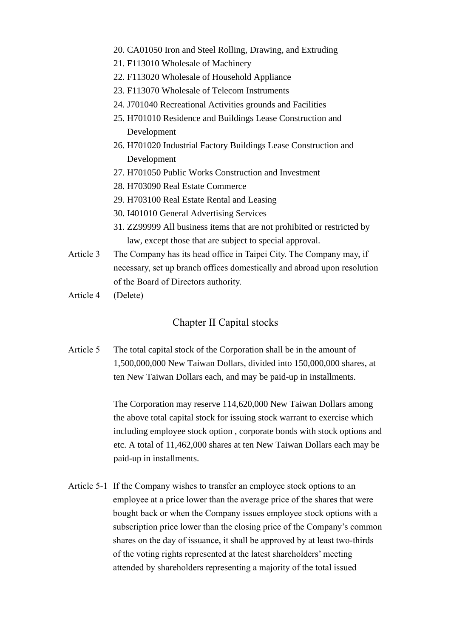- 20. CA01050 Iron and Steel Rolling, Drawing, and Extruding
- 21. F113010 Wholesale of Machinery
- 22. F113020 Wholesale of Household Appliance
- 23. F113070 Wholesale of Telecom Instruments
- 24. J701040 Recreational Activities grounds and Facilities
- 25. H701010 Residence and Buildings Lease Construction and Development
- 26. H701020 Industrial Factory Buildings Lease Construction and Development
- 27. H701050 Public Works Construction and Investment
- 28. H703090 Real Estate Commerce
- 29. H703100 Real Estate Rental and Leasing
- 30. I401010 General Advertising Services
- 31. ZZ99999 All business items that are not prohibited or restricted by law, except those that are subject to special approval.
- Article 3 The Company has its head office in Taipei City. The Company may, if necessary, set up branch offices domestically and abroad upon resolution of the Board of Directors authority.
- Article 4 (Delete)

#### Chapter II Capital stocks

Article 5 The total capital stock of the Corporation shall be in the amount of 1,500,000,000 New Taiwan Dollars, divided into 150,000,000 shares, at ten New Taiwan Dollars each, and may be paid-up in installments.

> The Corporation may reserve 114,620,000 New Taiwan Dollars among the above total capital stock for issuing stock warrant to exercise which including employee stock option , corporate bonds with stock options and etc. A total of 11,462,000 shares at ten New Taiwan Dollars each may be paid-up in installments.

Article 5-1 If the Company wishes to transfer an employee stock options to an employee at a price lower than the average price of the shares that were bought back or when the Company issues employee stock options with a subscription price lower than the closing price of the Company's common shares on the day of issuance, it shall be approved by at least two-thirds of the voting rights represented at the latest shareholders' meeting attended by shareholders representing a majority of the total issued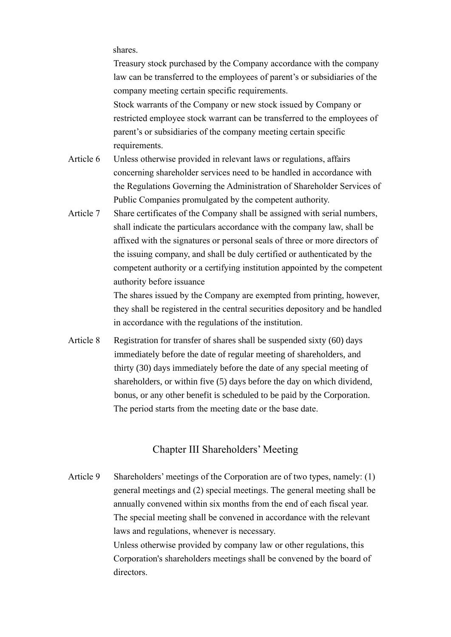shares.

Treasury stock purchased by the Company accordance with the company law can be transferred to the employees of parent's or subsidiaries of the company meeting certain specific requirements. Stock warrants of the Company or new stock issued by Company or restricted employee stock warrant can be transferred to the employees of parent's or subsidiaries of the company meeting certain specific requirements.

- Article 6 Unless otherwise provided in relevant laws or regulations, affairs concerning shareholder services need to be handled in accordance with the Regulations Governing the Administration of Shareholder Services of Public Companies promulgated by the competent authority.
- Article 7 Share certificates of the Company shall be assigned with serial numbers, shall indicate the particulars accordance with the company law, shall be affixed with the signatures or personal seals of three or more directors of the issuing company, and shall be duly certified or authenticated by the competent authority or a certifying institution appointed by the competent authority before issuance

The shares issued by the Company are exempted from printing, however, they shall be registered in the central securities depository and be handled in accordance with the regulations of the institution.

Article 8 Registration for transfer of shares shall be suspended sixty (60) days immediately before the date of regular meeting of shareholders, and thirty (30) days immediately before the date of any special meeting of shareholders, or within five (5) days before the day on which dividend, bonus, or any other benefit is scheduled to be paid by the Corporation. The period starts from the meeting date or the base date.

#### Chapter III Shareholders' Meeting

Article 9 Shareholders' meetings of the Corporation are of two types, namely: (1) general meetings and (2) special meetings. The general meeting shall be annually convened within six months from the end of each fiscal year. The special meeting shall be convened in accordance with the relevant laws and regulations, whenever is necessary. Unless otherwise provided by company law or other regulations, this Corporation's shareholders meetings shall be convened by the board of directors.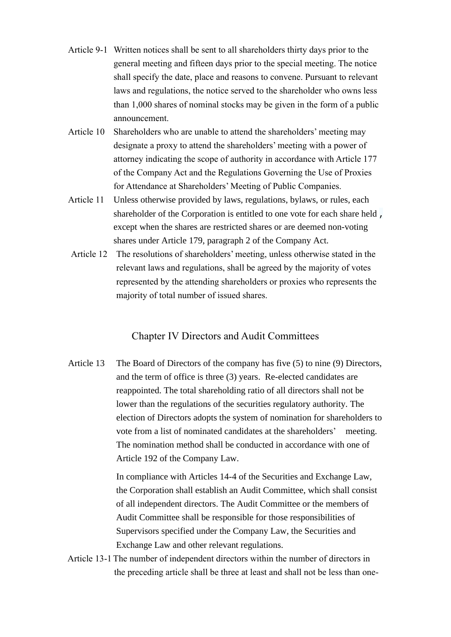- Article 9-1 Written notices shall be sent to all shareholders thirty days prior to the general meeting and fifteen days prior to the special meeting. The notice shall specify the date, place and reasons to convene. Pursuant to relevant laws and regulations, the notice served to the shareholder who owns less than 1,000 shares of nominal stocks may be given in the form of a public announcement.
- Article 10 Shareholders who are unable to attend the shareholders' meeting may designate a proxy to attend the shareholders' meeting with a power of attorney indicating the scope of authority in accordance with Article 177 of the Company Act and the Regulations Governing the Use of Proxies for Attendance at Shareholders' Meeting of Public Companies.
- Article 11 Unless otherwise provided by laws, regulations, bylaws, or rules, each shareholder of the Corporation is entitled to one vote for each share held , except when the shares are restricted shares or are deemed non-voting shares under Article 179, paragraph 2 of the Company Act.
- Article 12 The resolutions of shareholders' meeting, unless otherwise stated in the relevant laws and regulations, shall be agreed by the majority of votes represented by the attending shareholders or proxies who represents the majority of total number of issued shares.

#### Chapter IV Directors and Audit Committees

Article 13 The Board of Directors of the company has five (5) to nine (9) Directors, and the term of office is three (3) years. Re-elected candidates are reappointed. The total shareholding ratio of all directors shall not be lower than the regulations of the securities regulatory authority. The election of Directors adopts the system of nomination for shareholders to vote from a list of nominated candidates at the shareholders' meeting. The nomination method shall be conducted in accordance with one of Article 192 of the Company Law.

> In compliance with Articles 14-4 of the Securities and Exchange Law, the Corporation shall establish an Audit Committee, which shall consist of all independent directors. The Audit Committee or the members of Audit Committee shall be responsible for those responsibilities of Supervisors specified under the Company Law, the Securities and Exchange Law and other relevant regulations.

Article 13-1 The number of independent directors within the number of directors in the preceding article shall be three at least and shall not be less than one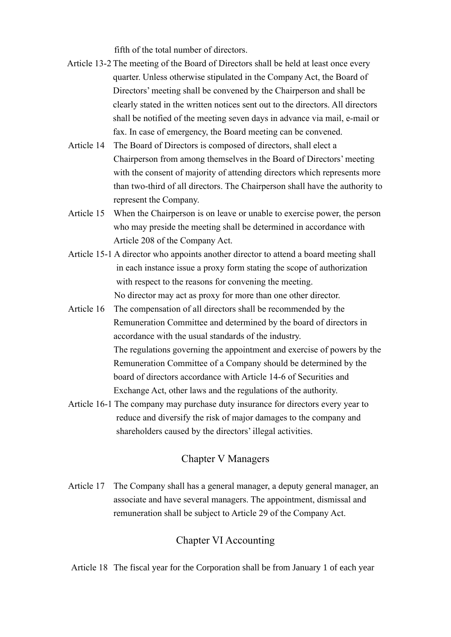fifth of the total number of directors.

- Article 13-2 The meeting of the Board of Directors shall be held at least once every quarter. Unless otherwise stipulated in the Company Act, the Board of Directors' meeting shall be convened by the Chairperson and shall be clearly stated in the written notices sent out to the directors. All directors shall be notified of the meeting seven days in advance via mail, e-mail or fax. In case of emergency, the Board meeting can be convened.
- Article 14 The Board of Directors is composed of directors, shall elect a Chairperson from among themselves in the Board of Directors' meeting with the consent of majority of attending directors which represents more than two-third of all directors. The Chairperson shall have the authority to represent the Company.
- Article 15 When the Chairperson is on leave or unable to exercise power, the person who may preside the meeting shall be determined in accordance with Article 208 of the Company Act.
- Article 15-1 A director who appoints another director to attend a board meeting shall in each instance issue a proxy form stating the scope of authorization with respect to the reasons for convening the meeting. No director may act as proxy for more than one other director.
- Article 16 The compensation of all directors shall be recommended by the Remuneration Committee and determined by the board of directors in accordance with the usual standards of the industry. The regulations governing the appointment and exercise of powers by the Remuneration Committee of a Company should be determined by the board of directors accordance with Article 14-6 of Securities and Exchange Act, other laws and the regulations of the authority.
- Article 16-1 The company may purchase duty insurance for directors every year to reduce and diversify the risk of major damages to the company and shareholders caused by the directors' illegal activities.

#### Chapter V Managers

Article 17 The Company shall has a general manager, a deputy general manager, an associate and have several managers. The appointment, dismissal and remuneration shall be subject to Article 29 of the Company Act.

#### Chapter VI Accounting

Article 18 The fiscal year for the Corporation shall be from January 1 of each year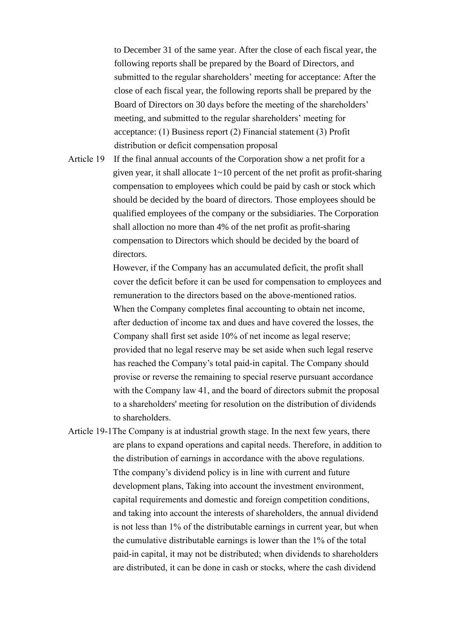to December 31 of the same year. After the close of each fiscal year, the following reports shall be prepared by the Board of Directors, and submitted to the regular shareholders' meeting for acceptance: After the close of each fiscal year, the following reports shall be prepared by the Board of Directors on 30 days before the meeting of the shareholders' meeting, and submitted to the regular shareholders' meeting for acceptance: (1) Business report (2) Financial statement (3) Profit distribution or deficit compensation proposal

Article 19 If the final annual accounts of the Corporation show a net profit for a given year, it shall allocate 1~10 percent of the net profit as profit-sharing compensation to employees which could be paid by cash or stock which should be decided by the board of directors. Those employees should be qualified employees of the company or the subsidiaries. The Corporation shall alloction no more than 4% of the net profit as profit-sharing compensation to Directors which should be decided by the board of directors.

> However, if the Company has an accumulated deficit, the profit shall cover the deficit before it can be used for compensation to employees and remuneration to the directors based on the above-mentioned ratios. When the Company completes final accounting to obtain net income, after deduction of income tax and dues and have covered the losses, the Company shall first set aside 10% of net income as legal reserve; provided that no legal reserve may be set aside when such legal reserve has reached the Company's total paid-in capital. The Company should provise or reverse the remaining to special reserve pursuant accordance with the Company law 41, and the board of directors submit the proposal to a shareholders' meeting for resolution on the distribution of dividends to shareholders.

Article 19-1The Company is at industrial growth stage. In the next few years, there are plans to expand operations and capital needs. Therefore, in addition to the distribution of earnings in accordance with the above regulations. Tthe company's dividend policy is in line with current and future development plans, Taking into account the investment environment, capital requirements and domestic and foreign competition conditions, and taking into account the interests of shareholders, the annual dividend is not less than 1% of the distributable earnings in current year, but when the cumulative distributable earnings is lower than the 1% of the total paid-in capital, it may not be distributed; when dividends to shareholders are distributed, it can be done in cash or stocks, where the cash dividend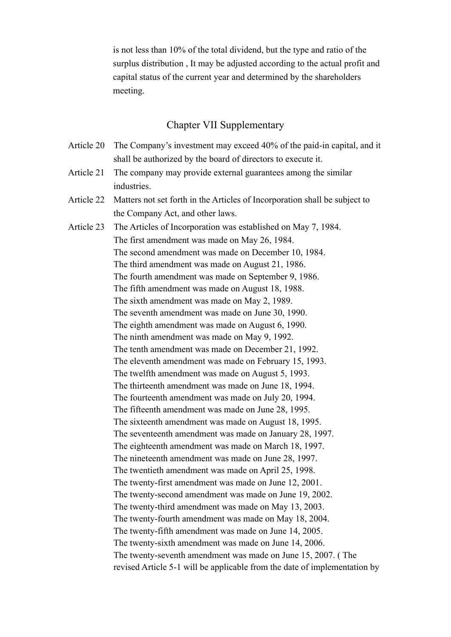is not less than 10% of the total dividend, but the type and ratio of the surplus distribution , It may be adjusted according to the actual profit and capital status of the current year and determined by the shareholders meeting.

### Chapter VII Supplementary

| Article 20 | The Company's investment may exceed 40% of the paid-in capital, and it     |
|------------|----------------------------------------------------------------------------|
|            | shall be authorized by the board of directors to execute it.               |
| Article 21 | The company may provide external guarantees among the similar              |
|            | industries.                                                                |
| Article 22 | Matters not set forth in the Articles of Incorporation shall be subject to |
|            | the Company Act, and other laws.                                           |
| Article 23 | The Articles of Incorporation was established on May 7, 1984.              |
|            | The first amendment was made on May 26, 1984.                              |
|            | The second amendment was made on December 10, 1984.                        |
|            | The third amendment was made on August 21, 1986.                           |
|            | The fourth amendment was made on September 9, 1986.                        |
|            | The fifth amendment was made on August 18, 1988.                           |
|            | The sixth amendment was made on May 2, 1989.                               |
|            | The seventh amendment was made on June 30, 1990.                           |
|            | The eighth amendment was made on August 6, 1990.                           |
|            | The ninth amendment was made on May 9, 1992.                               |
|            | The tenth amendment was made on December 21, 1992.                         |
|            | The eleventh amendment was made on February 15, 1993.                      |
|            | The twelfth amendment was made on August 5, 1993.                          |
|            | The thirteenth amendment was made on June 18, 1994.                        |
|            | The fourteenth amendment was made on July 20, 1994.                        |
|            | The fifteenth amendment was made on June 28, 1995.                         |
|            | The sixteenth amendment was made on August 18, 1995.                       |
|            | The seventeenth amendment was made on January 28, 1997.                    |
|            | The eighteenth amendment was made on March 18, 1997.                       |
|            | The nineteenth amendment was made on June 28, 1997.                        |
|            | The twentieth amendment was made on April 25, 1998.                        |
|            | The twenty-first amendment was made on June 12, 2001.                      |
|            | The twenty-second amendment was made on June 19, 2002.                     |
|            | The twenty-third amendment was made on May 13, 2003.                       |
|            | The twenty-fourth amendment was made on May 18, 2004.                      |
|            | The twenty-fifth amendment was made on June 14, 2005.                      |
|            | The twenty-sixth amendment was made on June 14, 2006.                      |
|            | The twenty-seventh amendment was made on June 15, 2007. (The               |
|            | revised Article 5-1 will be applicable from the date of implementation by  |